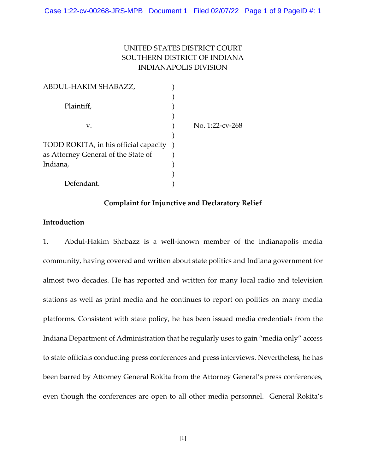## UNITED STATES DISTRICT COURT SOUTHERN DISTRICT OF INDIANA INDIANAPOLIS DIVISION

| ABDUL-HAKIM SHABAZZ,                            |                 |
|-------------------------------------------------|-----------------|
| Plaintiff,                                      |                 |
| v.                                              | No. 1:22-cv-268 |
| TODD ROKITA, in his official capacity           |                 |
| as Attorney General of the State of<br>Indiana, |                 |
|                                                 |                 |
| Defendant.                                      |                 |

### **Complaint for Injunctive and Declaratory Relief**

### **Introduction**

1. Abdul-Hakim Shabazz is a well-known member of the Indianapolis media community, having covered and written about state politics and Indiana government for almost two decades. He has reported and written for many local radio and television stations as well as print media and he continues to report on politics on many media platforms*.* Consistent with state policy, he has been issued media credentials from the Indiana Department of Administration that he regularly uses to gain "media only" access to state officials conducting press conferences and press interviews. Nevertheless, he has been barred by Attorney General Rokita from the Attorney General's press conferences, even though the conferences are open to all other media personnel. General Rokita's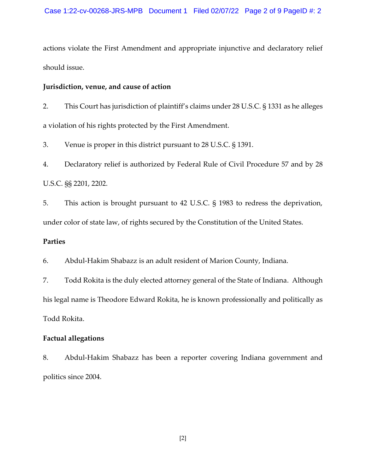actions violate the First Amendment and appropriate injunctive and declaratory relief should issue.

### **Jurisdiction, venue, and cause of action**

2. This Court has jurisdiction of plaintiff's claims under 28 U.S.C. § 1331 as he alleges a violation of his rights protected by the First Amendment.

3. Venue is proper in this district pursuant to 28 U.S.C. § 1391.

4. Declaratory relief is authorized by Federal Rule of Civil Procedure 57 and by 28 U.S.C. §§ 2201, 2202.

5. This action is brought pursuant to 42 U.S.C. § 1983 to redress the deprivation, under color of state law, of rights secured by the Constitution of the United States.

### **Parties**

6. Abdul-Hakim Shabazz is an adult resident of Marion County, Indiana.

7. Todd Rokita is the duly elected attorney general of the State of Indiana. Although his legal name is Theodore Edward Rokita, he is known professionally and politically as Todd Rokita.

### **Factual allegations**

8. Abdul-Hakim Shabazz has been a reporter covering Indiana government and politics since 2004.

[2]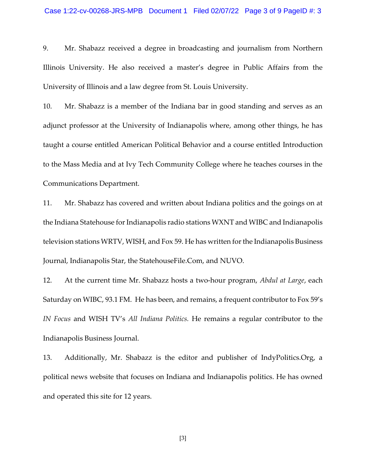9. Mr. Shabazz received a degree in broadcasting and journalism from Northern Illinois University. He also received a master's degree in Public Affairs from the University of Illinois and a law degree from St. Louis University.

10. Mr. Shabazz is a member of the Indiana bar in good standing and serves as an adjunct professor at the University of Indianapolis where, among other things, he has taught a course entitled American Political Behavior and a course entitled Introduction to the Mass Media and at Ivy Tech Community College where he teaches courses in the Communications Department.

11. Mr. Shabazz has covered and written about Indiana politics and the goings on at the Indiana Statehouse for Indianapolis radio stations WXNT and WIBC and Indianapolis television stations WRTV, WISH, and Fox 59. He has written for the Indianapolis Business Journal, Indianapolis Star, the StatehouseFile.Com, and NUVO.

12. At the current time Mr. Shabazz hosts a two-hour program, *Abdul at Large*, each Saturday on WIBC, 93.1 FM. He has been, and remains, a frequent contributor to Fox 59's *IN Focus* and WISH TV's *All Indiana Politics.* He remains a regular contributor to the Indianapolis Business Journal.

13. Additionally, Mr. Shabazz is the editor and publisher of IndyPolitics.Org, a political news website that focuses on Indiana and Indianapolis politics. He has owned and operated this site for 12 years.

[3]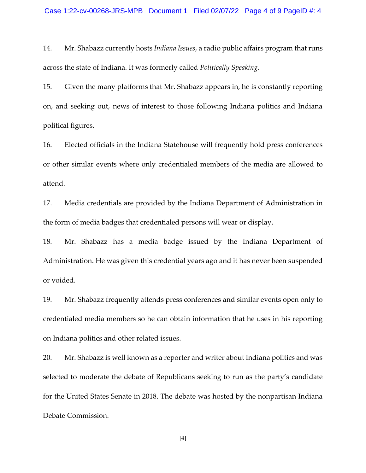14. Mr. Shabazz currently hosts *Indiana Issues*, a radio public affairs program that runs across the state of Indiana. It was formerly called *Politically Speaking.*

15. Given the many platforms that Mr. Shabazz appears in, he is constantly reporting on, and seeking out, news of interest to those following Indiana politics and Indiana political figures.

16. Elected officials in the Indiana Statehouse will frequently hold press conferences or other similar events where only credentialed members of the media are allowed to attend.

17. Media credentials are provided by the Indiana Department of Administration in the form of media badges that credentialed persons will wear or display.

18. Mr. Shabazz has a media badge issued by the Indiana Department of Administration. He was given this credential years ago and it has never been suspended or voided.

19. Mr. Shabazz frequently attends press conferences and similar events open only to credentialed media members so he can obtain information that he uses in his reporting on Indiana politics and other related issues.

20. Mr. Shabazz is well known as a reporter and writer about Indiana politics and was selected to moderate the debate of Republicans seeking to run as the party's candidate for the United States Senate in 2018. The debate was hosted by the nonpartisan Indiana Debate Commission.

[4]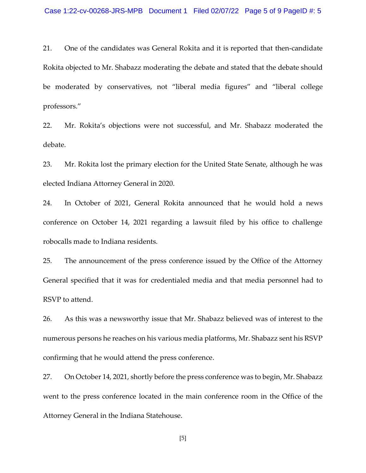21. One of the candidates was General Rokita and it is reported that then-candidate Rokita objected to Mr. Shabazz moderating the debate and stated that the debate should be moderated by conservatives, not "liberal media figures" and "liberal college professors."

22. Mr. Rokita's objections were not successful, and Mr. Shabazz moderated the debate.

23. Mr. Rokita lost the primary election for the United State Senate, although he was elected Indiana Attorney General in 2020.

24. In October of 2021, General Rokita announced that he would hold a news conference on October 14, 2021 regarding a lawsuit filed by his office to challenge robocalls made to Indiana residents.

25. The announcement of the press conference issued by the Office of the Attorney General specified that it was for credentialed media and that media personnel had to RSVP to attend.

26. As this was a newsworthy issue that Mr. Shabazz believed was of interest to the numerous persons he reaches on his various media platforms, Mr. Shabazz sent his RSVP confirming that he would attend the press conference.

27. On October 14, 2021, shortly before the press conference was to begin, Mr. Shabazz went to the press conference located in the main conference room in the Office of the Attorney General in the Indiana Statehouse.

[5]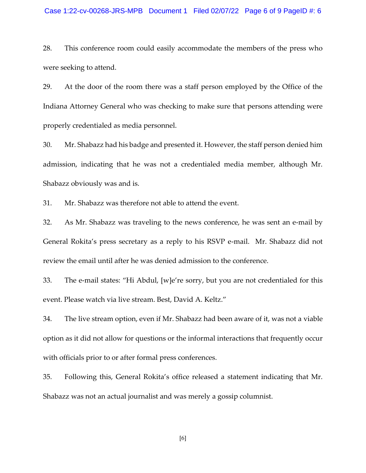### Case 1:22-cv-00268-JRS-MPB Document 1 Filed 02/07/22 Page 6 of 9 PageID #: 6

28. This conference room could easily accommodate the members of the press who were seeking to attend.

29. At the door of the room there was a staff person employed by the Office of the Indiana Attorney General who was checking to make sure that persons attending were properly credentialed as media personnel.

30. Mr. Shabazz had his badge and presented it. However, the staff person denied him admission, indicating that he was not a credentialed media member, although Mr. Shabazz obviously was and is.

31. Mr. Shabazz was therefore not able to attend the event.

32. As Mr. Shabazz was traveling to the news conference, he was sent an e-mail by General Rokita's press secretary as a reply to his RSVP e-mail. Mr. Shabazz did not review the email until after he was denied admission to the conference.

33. The e-mail states: "Hi Abdul, [w]e're sorry, but you are not credentialed for this event. Please watch via live stream. Best, David A. Keltz."

34. The live stream option, even if Mr. Shabazz had been aware of it, was not a viable option as it did not allow for questions or the informal interactions that frequently occur with officials prior to or after formal press conferences.

35. Following this, General Rokita's office released a statement indicating that Mr. Shabazz was not an actual journalist and was merely a gossip columnist.

[6]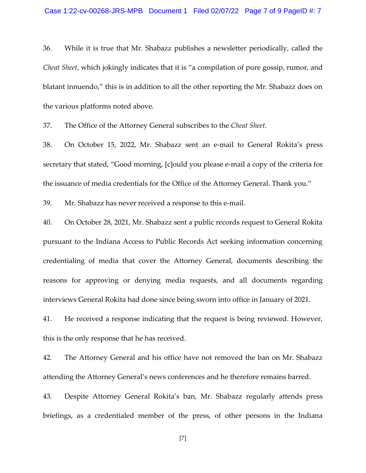36. While it is true that Mr. Shabazz publishes a newsletter periodically, called the *Cheat Sheet*, which jokingly indicates that it is "a compilation of pure gossip, rumor, and blatant innuendo," this is in addition to all the other reporting the Mr. Shabazz does on the various platforms noted above.

37. The Office of the Attorney General subscribes to the *Cheat Sheet.*

38. On October 15, 2022, Mr. Shabazz sent an e-mail to General Rokita's press secretary that stated, "Good morning, [c]ould you please e-mail a copy of the criteria for the issuance of media credentials for the Office of the Attorney General. Thank you."

39. Mr. Shabazz has never received a response to this e-mail.

40. On October 28, 2021, Mr. Shabazz sent a public records request to General Rokita pursuant to the Indiana Access to Public Records Act seeking information concerning credentialing of media that cover the Attorney General, documents describing the reasons for approving or denying media requests, and all documents regarding interviews General Rokita had done since being sworn into office in January of 2021.

41. He received a response indicating that the request is being reviewed. However, this is the only response that he has received.

42. The Attorney General and his office have not removed the ban on Mr. Shabazz attending the Attorney General's news conferences and he therefore remains barred.

43. Despite Attorney General Rokita's ban, Mr. Shabazz regularly attends press briefings, as a credentialed member of the press, of other persons in the Indiana

[7]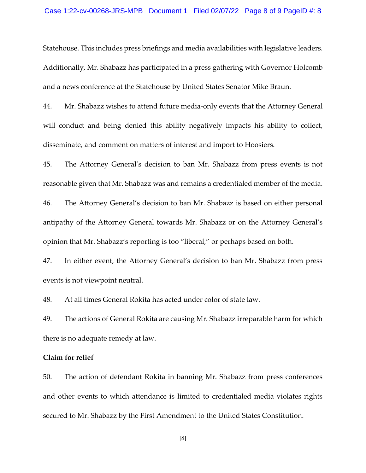#### Case 1:22-cv-00268-JRS-MPB Document 1 Filed 02/07/22 Page 8 of 9 PageID #: 8

Statehouse. This includes press briefings and media availabilities with legislative leaders. Additionally, Mr. Shabazz has participated in a press gathering with Governor Holcomb and a news conference at the Statehouse by United States Senator Mike Braun.

44. Mr. Shabazz wishes to attend future media-only events that the Attorney General will conduct and being denied this ability negatively impacts his ability to collect, disseminate, and comment on matters of interest and import to Hoosiers.

45. The Attorney General's decision to ban Mr. Shabazz from press events is not reasonable given that Mr. Shabazz was and remains a credentialed member of the media. 46. The Attorney General's decision to ban Mr. Shabazz is based on either personal antipathy of the Attorney General towards Mr. Shabazz or on the Attorney General's opinion that Mr. Shabazz's reporting is too "liberal," or perhaps based on both.

47. In either event, the Attorney General's decision to ban Mr. Shabazz from press events is not viewpoint neutral.

48. At all times General Rokita has acted under color of state law.

49. The actions of General Rokita are causing Mr. Shabazz irreparable harm for which there is no adequate remedy at law.

#### **Claim for relief**

50. The action of defendant Rokita in banning Mr. Shabazz from press conferences and other events to which attendance is limited to credentialed media violates rights secured to Mr. Shabazz by the First Amendment to the United States Constitution.

[8]